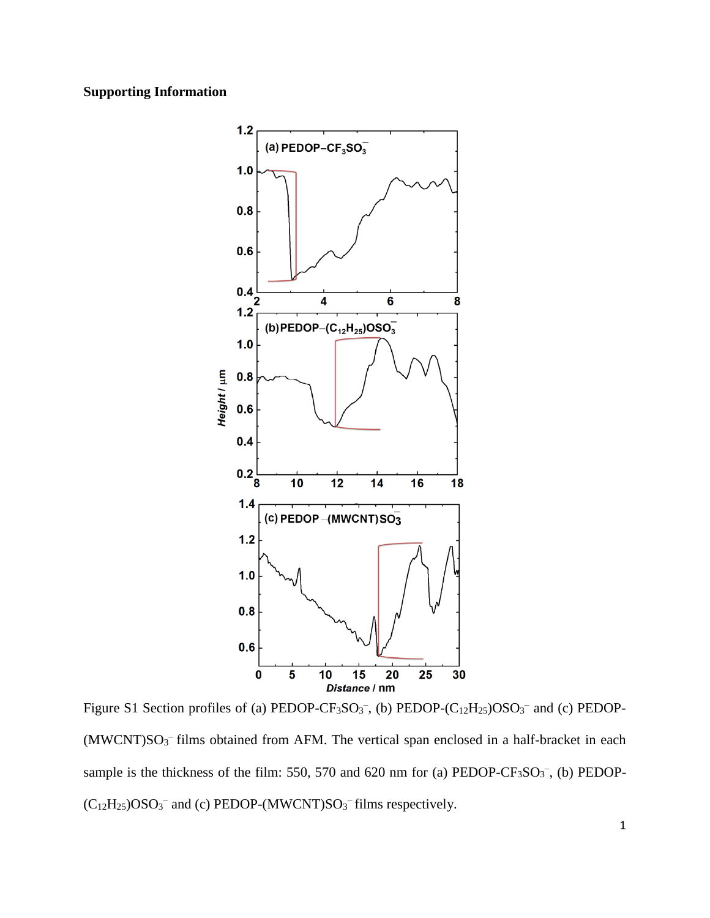## **Supporting Information**



Figure S1 Section profiles of (a) PEDOP-CF<sub>3</sub>SO<sub>3</sub><sup>-</sup>, (b) PEDOP-(C<sub>12</sub>H<sub>25</sub>)OSO<sub>3</sub><sup>-</sup> and (c) PEDOP- $(MWCNT)SO<sub>3</sub>$ <sup>-</sup> films obtained from AFM. The vertical span enclosed in a half-bracket in each sample is the thickness of the film: 550, 570 and 620 nm for (a) PEDOP-CF<sub>3</sub>SO<sub>3</sub><sup>-</sup>, (b) PEDOP- $(C_{12}H_{25})$ OSO<sub>3</sub><sup>-</sup> and (c) PEDOP-(MWCNT)SO<sub>3</sub><sup>-</sup> films respectively.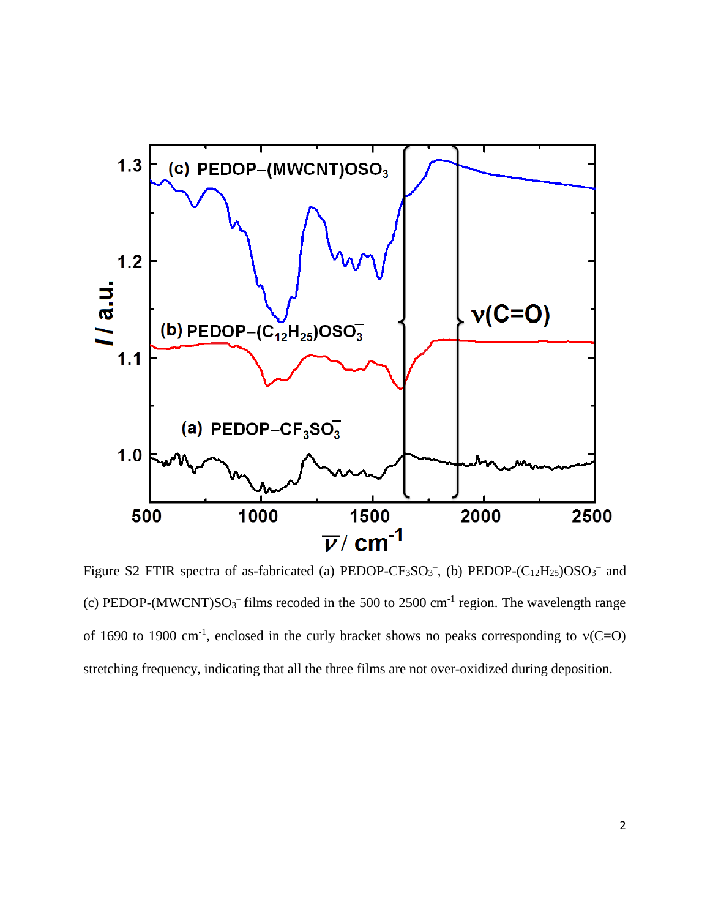

Figure S2 FTIR spectra of as-fabricated (a) PEDOP-CF<sub>3</sub>SO<sub>3</sub><sup>-</sup>, (b) PEDOP-(C<sub>12</sub>H<sub>25</sub>)OSO<sub>3</sub><sup>-</sup> and (c) PEDOP-(MWCNT) $SO_3^-$  films recoded in the 500 to 2500 cm<sup>-1</sup> region. The wavelength range of 1690 to 1900 cm<sup>-1</sup>, enclosed in the curly bracket shows no peaks corresponding to  $v(C=0)$ stretching frequency, indicating that all the three films are not over-oxidized during deposition.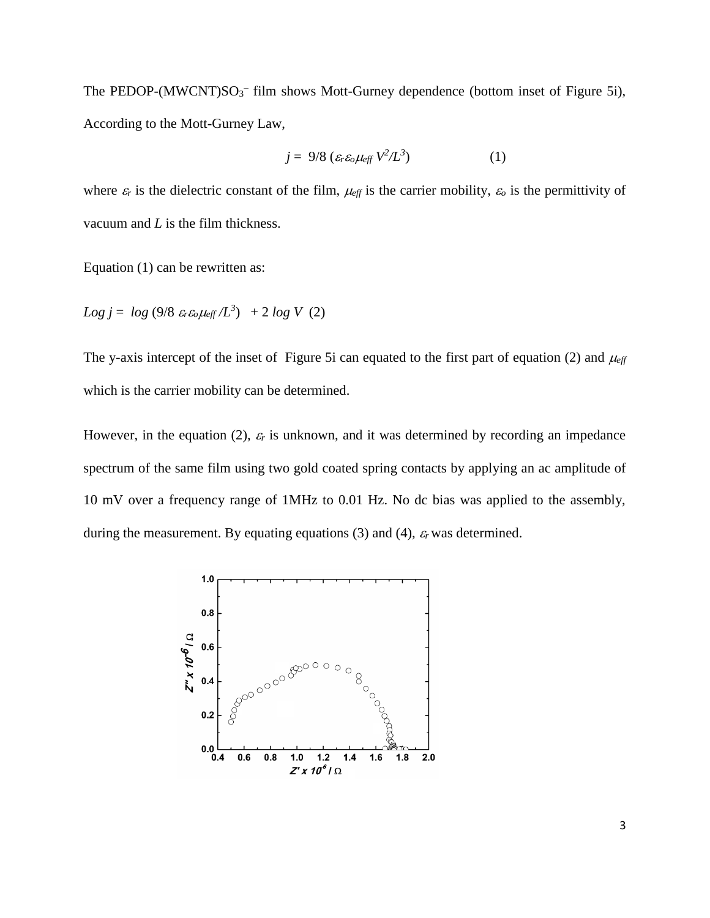The PEDOP- $(MWCNT)SO_3^-$  film shows Mott-Gurney dependence (bottom inset of Figure 5i), According to the Mott-Gurney Law,

$$
j = 9/8 \left( \varepsilon_r \varepsilon_o \mu_{\text{eff}} V^2 / L^3 \right) \tag{1}
$$

where  $\varepsilon_r$  is the dielectric constant of the film,  $\mu_{\text{eff}}$  is the carrier mobility,  $\varepsilon_o$  is the permittivity of vacuum and *L* is the film thickness.

Equation (1) can be rewritten as:

 $Log j = log (9/8 \epsilon_r \epsilon_o \mu_{eff} / L^3) + 2 log V (2)$ 

The y-axis intercept of the inset of Figure 5i can equated to the first part of equation (2) and  $\mu_{\text{eff}}$ which is the carrier mobility can be determined.

However, in the equation (2),  $\varepsilon_r$  is unknown, and it was determined by recording an impedance spectrum of the same film using two gold coated spring contacts by applying an ac amplitude of 10 mV over a frequency range of 1MHz to 0.01 Hz. No dc bias was applied to the assembly, during the measurement. By equating equations  $(3)$  and  $(4)$ ,  $\varepsilon_r$  was determined.

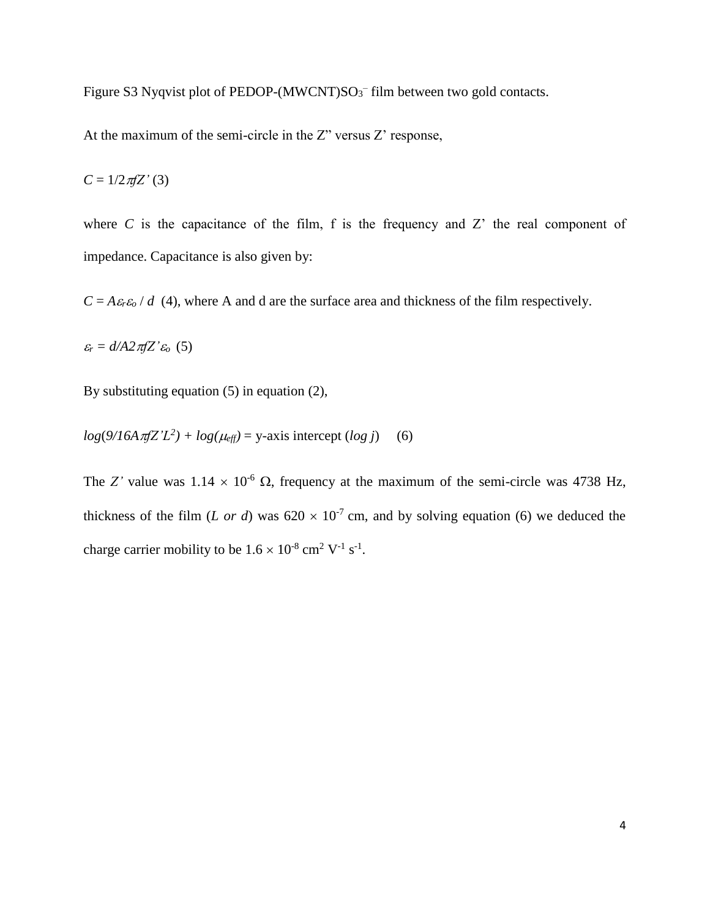Figure S3 Nyqvist plot of PEDOP-(MWCNT) $SO_3^-$  film between two gold contacts.

At the maximum of the semi-circle in the Z" versus Z' response,

 $C = 1/2 \pi Z'$  (3)

where  $C$  is the capacitance of the film,  $f$  is the frequency and  $Z'$  the real component of impedance. Capacitance is also given by:

 $C = A \epsilon_r \epsilon_o / d$  (4), where A and d are the surface area and thickness of the film respectively.

 $\varepsilon_r = d/42\pi fZ' \varepsilon_o$  (5)

By substituting equation (5) in equation (2),

 $log(9/16A \pi fZ'L^2) + log(\mu_{eff}) = y$ -axis intercept  $(log\ j)$  (6)

The *Z'* value was  $1.14 \times 10^{-6}$   $\Omega$ , frequency at the maximum of the semi-circle was 4738 Hz, thickness of the film (*L or d*) was  $620 \times 10^{-7}$  cm, and by solving equation (6) we deduced the charge carrier mobility to be  $1.6 \times 10^{-8}$  cm<sup>2</sup> V<sup>-1</sup> s<sup>-1</sup>.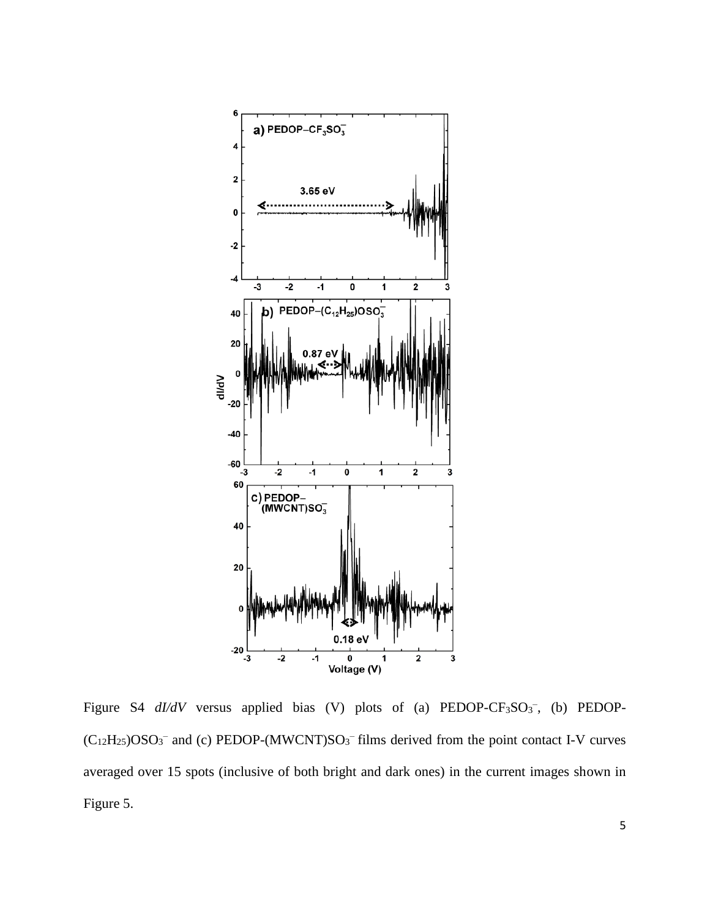

Figure S4  $dI/dV$  versus applied bias (V) plots of (a) PEDOP-CF<sub>3</sub>SO<sub>3</sub><sup>-</sup>, (b) PEDOP- $(C_{12}H_{25})$ OSO<sub>3</sub><sup>-</sup> and (c) PEDOP-(MWCNT)SO<sub>3</sub><sup>-</sup> films derived from the point contact I-V curves averaged over 15 spots (inclusive of both bright and dark ones) in the current images shown in Figure 5.